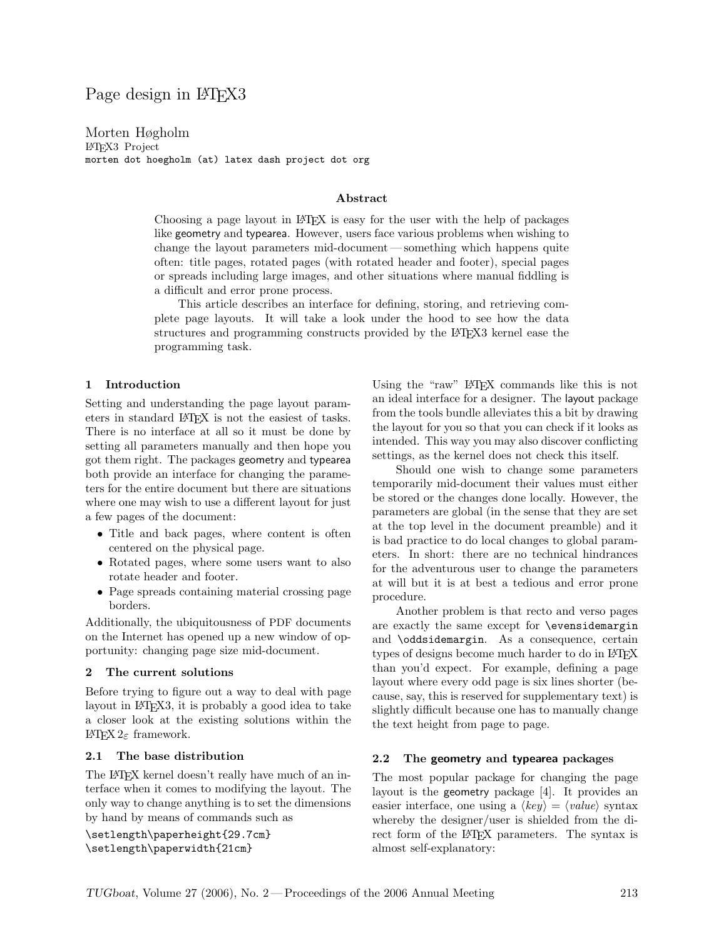# Page design in LAT<sub>EX3</sub>

Morten Høgholm LATEX3 Project morten dot hoegholm (at) latex dash project dot org

#### Abstract

Choosing a page layout in LATEX is easy for the user with the help of packages like geometry and typearea. However, users face various problems when wishing to change the layout parameters mid-document — something which happens quite often: title pages, rotated pages (with rotated header and footer), special pages or spreads including large images, and other situations where manual fiddling is a difficult and error prone process.

This article describes an interface for defining, storing, and retrieving complete page layouts. It will take a look under the hood to see how the data structures and programming constructs provided by the LATEX3 kernel ease the programming task.

#### 1 Introduction

Setting and understanding the page layout parameters in standard LATEX is not the easiest of tasks. There is no interface at all so it must be done by setting all parameters manually and then hope you got them right. The packages geometry and typearea both provide an interface for changing the parameters for the entire document but there are situations where one may wish to use a different layout for just a few pages of the document:

- Title and back pages, where content is often centered on the physical page.
- Rotated pages, where some users want to also rotate header and footer.
- Page spreads containing material crossing page borders.

Additionally, the ubiquitousness of PDF documents on the Internet has opened up a new window of opportunity: changing page size mid-document.

#### 2 The current solutions

Before trying to figure out a way to deal with page layout in LAT<sub>EX</sub>3, it is probably a good idea to take a closer look at the existing solutions within the LATEX  $2_ε$  framework.

#### 2.1 The base distribution

The LAT<sub>EX</sub> kernel doesn't really have much of an interface when it comes to modifying the layout. The only way to change anything is to set the dimensions by hand by means of commands such as

\setlength\paperheight{29.7cm} \setlength\paperwidth{21cm}

Using the "raw" LATEX commands like this is not an ideal interface for a designer. The layout package from the tools bundle alleviates this a bit by drawing the layout for you so that you can check if it looks as intended. This way you may also discover conflicting settings, as the kernel does not check this itself.

Should one wish to change some parameters temporarily mid-document their values must either be stored or the changes done locally. However, the parameters are global (in the sense that they are set at the top level in the document preamble) and it is bad practice to do local changes to global parameters. In short: there are no technical hindrances for the adventurous user to change the parameters at will but it is at best a tedious and error prone procedure.

Another problem is that recto and verso pages are exactly the same except for \evensidemargin and \oddsidemargin. As a consequence, certain types of designs become much harder to do in LAT<sub>EX</sub> than you'd expect. For example, defining a page layout where every odd page is six lines shorter (because, say, this is reserved for supplementary text) is slightly difficult because one has to manually change the text height from page to page.

#### 2.2 The geometry and typearea packages

The most popular package for changing the page layout is the geometry package [4]. It provides an easier interface, one using a  $\langle key \rangle = \langle value \rangle$  syntax whereby the designer/user is shielded from the direct form of the LAT<sub>EX</sub> parameters. The syntax is almost self-explanatory: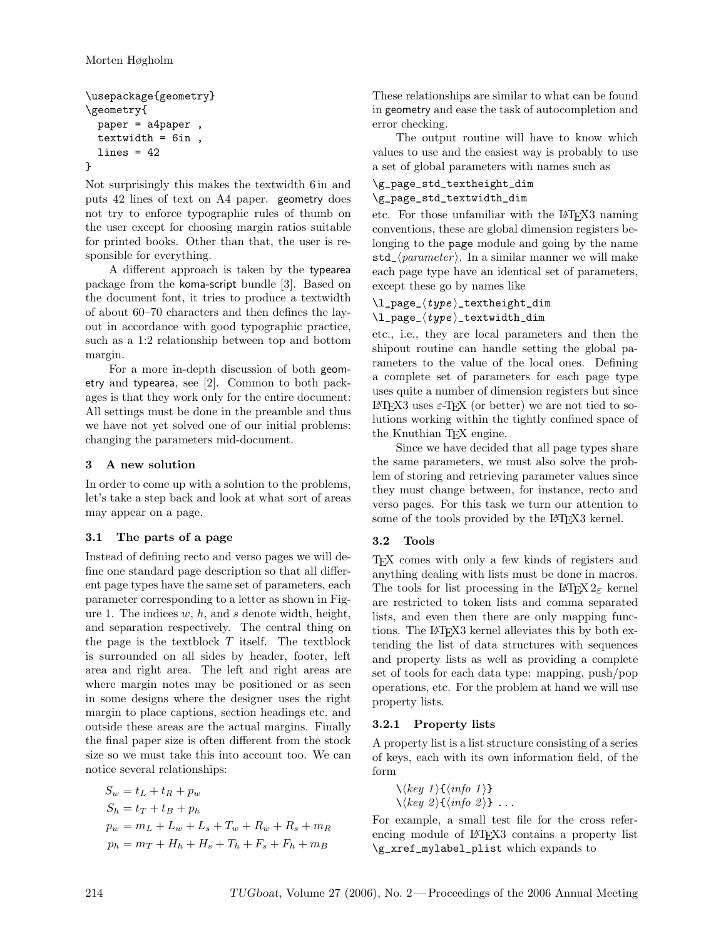```
\usepackage{geometry}
\geometry{
  paper = a4paper ,
  textwidth = 6in,
  lines = 42}
```
Not surprisingly this makes the textwidth 6 in and puts 42 lines of text on A4 paper. geometry does not try to enforce typographic rules of thumb on the user except for choosing margin ratios suitable for printed books. Other than that, the user is responsible for everything.

A different approach is taken by the typearea package from the koma-script bundle [3]. Based on the document font, it tries to produce a textwidth of about 60–70 characters and then defines the layout in accordance with good typographic practice, such as a 1:2 relationship between top and bottom margin.

For a more in-depth discussion of both geometry and typearea, see [2]. Common to both packages is that they work only for the entire document: All settings must be done in the preamble and thus we have not yet solved one of our initial problems: changing the parameters mid-document.

## 3 A new solution

In order to come up with a solution to the problems, let's take a step back and look at what sort of areas may appear on a page.

### 3.1 The parts of a page

Instead of defining recto and verso pages we will define one standard page description so that all different page types have the same set of parameters, each parameter corresponding to a letter as shown in Figure 1. The indices  $w, h$ , and  $s$  denote width, height, and separation respectively. The central thing on the page is the textblock  $T$  itself. The textblock is surrounded on all sides by header, footer, left area and right area. The left and right areas are where margin notes may be positioned or as seen in some designs where the designer uses the right margin to place captions, section headings etc. and outside these areas are the actual margins. Finally the final paper size is often different from the stock size so we must take this into account too. We can notice several relationships:

$$
S_w = t_L + t_R + p_w
$$
  
\n
$$
S_h = t_T + t_B + p_h
$$
  
\n
$$
p_w = m_L + L_w + L_s + T_w + R_w + R_s + m_R
$$
  
\n
$$
p_h = m_T + H_h + H_s + T_h + F_s + F_h + m_B
$$

These relationships are similar to what can be found in geometry and ease the task of autocompletion and error checking.

The output routine will have to know which values to use and the easiest way is probably to use a set of global parameters with names such as

#### \g\_page\_std\_textheight\_dim \g\_page\_std\_textwidth\_dim

etc. For those unfamiliar with the L<sup>AT</sup>FX3 naming conventions, these are global dimension registers belonging to the page module and going by the name std\_ $\langle parameter \rangle$ . In a similar manner we will make each page type have an identical set of parameters, except these go by names like

### $\lvert \text{log}(\text{type}) \rvert$  textheight\_dim  $\lvert \text{log}(\text{type})$ \_textwidth\_dim

etc., i.e., they are local parameters and then the shipout routine can handle setting the global parameters to the value of the local ones. Defining a complete set of parameters for each page type uses quite a number of dimension registers but since LATEX3 uses ε-TEX (or better) we are not tied to solutions working within the tightly confined space of the Knuthian T<sub>EX</sub> engine.

Since we have decided that all page types share the same parameters, we must also solve the problem of storing and retrieving parameter values since they must change between, for instance, recto and verso pages. For this task we turn our attention to some of the tools provided by the LAT<sub>EX3</sub> kernel.

## 3.2 Tools

TEX comes with only a few kinds of registers and anything dealing with lists must be done in macros. The tools for list processing in the  $\text{LATEX} 2_{\epsilon}$  kernel are restricted to token lists and comma separated lists, and even then there are only mapping functions. The LAT<sub>EX</sub>3 kernel alleviates this by both extending the list of data structures with sequences and property lists as well as providing a complete set of tools for each data type: mapping, push/pop operations, etc. For the problem at hand we will use property lists.

## 3.2.1 Property lists

A property list is a list structure consisting of a series of keys, each with its own information field, of the form

\hkey 1 i{hinfo 1 i} \hkey 2 i{hinfo 2 i} ...

For example, a small test file for the cross referencing module of LAT<sub>F</sub>X3 contains a property list \g\_xref\_mylabel\_plist which expands to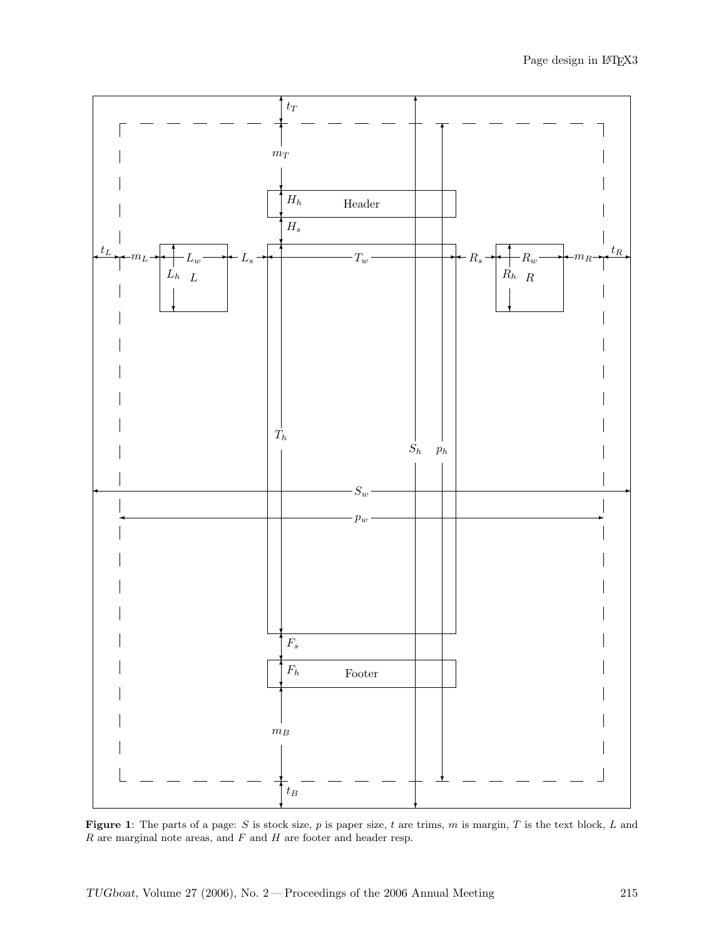

Figure 1: The parts of a page: S is stock size, p is paper size, t are trims, m is margin, T is the text block, L and  $R$  are marginal note areas, and  $F$  and  $H$  are footer and header resp.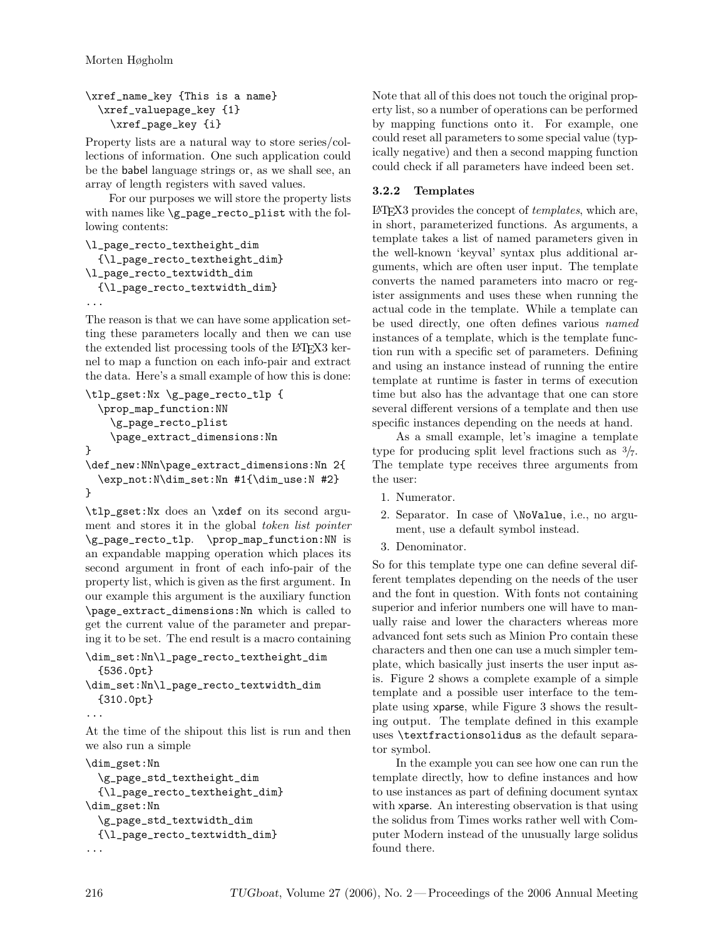```
\xref_name_key {This is a name}
  \xref_valuepage_key {1}
    \xref_page_key {i}
```
Property lists are a natural way to store series/collections of information. One such application could be the babel language strings or, as we shall see, an array of length registers with saved values.

For our purposes we will store the property lists with names like \g\_page\_recto\_plist with the following contents:

```
\l_page_recto_textheight_dim
  {\l_page_recto_textheight_dim}
\l_page_recto_textwidth_dim
  {\l_page_recto_textwidth_dim}
...
```
The reason is that we can have some application setting these parameters locally and then we can use the extended list processing tools of the LAT<sub>EX3</sub> kernel to map a function on each info-pair and extract the data. Here's a small example of how this is done:

```
\tlp_gset:Nx \g_page_recto_tlp {
  \prop_map_function:NN
    \g_page_recto_plist
    \page_extract_dimensions:Nn
}
\def_new:NNn\page_extract_dimensions:Nn 2{
  \exp_not:N\dim_set:Nn #1{\dim_use:N #2}
}
```
\tlp\_gset:Nx does an \xdef on its second argument and stores it in the global token list pointer \g\_page\_recto\_tlp. \prop\_map\_function:NN is an expandable mapping operation which places its second argument in front of each info-pair of the property list, which is given as the first argument. In our example this argument is the auxiliary function \page\_extract\_dimensions:Nn which is called to get the current value of the parameter and preparing it to be set. The end result is a macro containing

```
\dim_set:Nn\l_page_recto_textheight_dim
 {536.0pt}
\dim_set:Nn\l_page_recto_textwidth_dim
 {310.0pt}
...
```
At the time of the shipout this list is run and then we also run a simple

```
\dim_gset:Nn
 \g_page_std_textheight_dim
 {\l_page_recto_textheight_dim}
\dim_gset:Nn
 \g_page_std_textwidth_dim
 {\l_page_recto_textwidth_dim}
...
```
Note that all of this does not touch the original property list, so a number of operations can be performed by mapping functions onto it. For example, one could reset all parameters to some special value (typically negative) and then a second mapping function could check if all parameters have indeed been set.

## 3.2.2 Templates

LATEX3 provides the concept of templates, which are, in short, parameterized functions. As arguments, a template takes a list of named parameters given in the well-known 'keyval' syntax plus additional arguments, which are often user input. The template converts the named parameters into macro or register assignments and uses these when running the actual code in the template. While a template can be used directly, one often defines various named instances of a template, which is the template function run with a specific set of parameters. Defining and using an instance instead of running the entire template at runtime is faster in terms of execution time but also has the advantage that one can store several different versions of a template and then use specific instances depending on the needs at hand.

As a small example, let's imagine a template type for producing split level fractions such as  $\frac{3}{7}$ . The template type receives three arguments from the user:

- 1. Numerator.
- 2. Separator. In case of \NoValue, i.e., no argument, use a default symbol instead.
- 3. Denominator.

So for this template type one can define several different templates depending on the needs of the user and the font in question. With fonts not containing superior and inferior numbers one will have to manually raise and lower the characters whereas more advanced font sets such as Minion Pro contain these characters and then one can use a much simpler template, which basically just inserts the user input asis. Figure 2 shows a complete example of a simple template and a possible user interface to the template using xparse, while Figure 3 shows the resulting output. The template defined in this example uses \textfractionsolidus as the default separator symbol.

In the example you can see how one can run the template directly, how to define instances and how to use instances as part of defining document syntax with xparse. An interesting observation is that using the solidus from Times works rather well with Computer Modern instead of the unusually large solidus found there.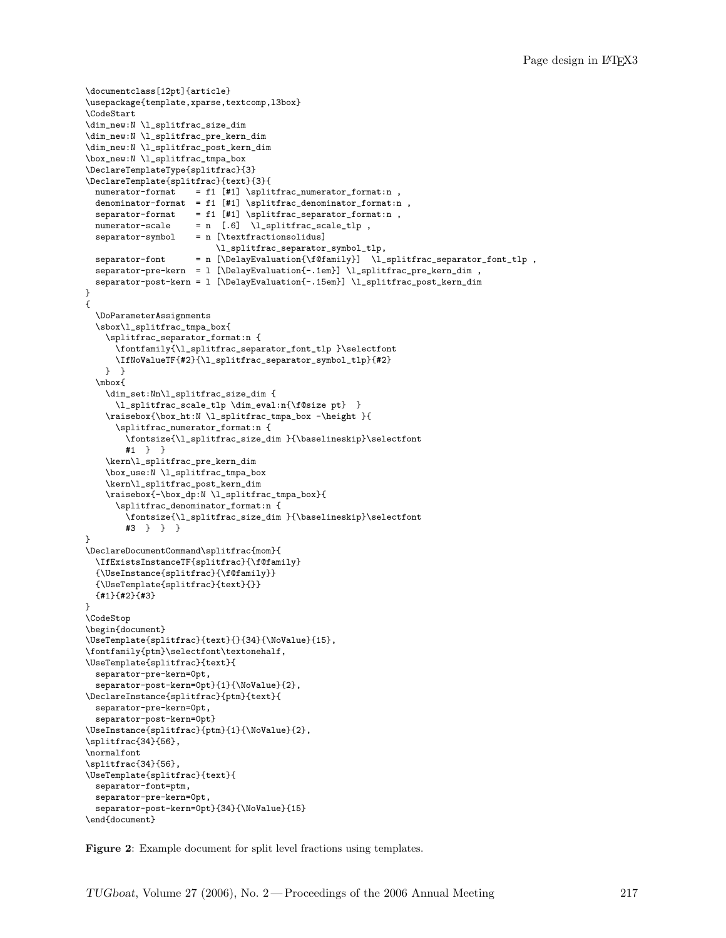```
\documentclass[12pt]{article}
\usepackage{template,xparse,textcomp,l3box}
\CodeStart
\dim_new:N \l_splitfrac_size_dim
\dim_new:N \l_splitfrac_pre_kern_dim
\dim_new:N \l_splitfrac_post_kern_dim
\box_new:N \l_splitfrac_tmpa_box
\DeclareTemplateType{splitfrac}{3}
\DeclareTemplate{splitfrac}{text}{3}{
 numerator-format = f1 [#1] \splitfrac_numerator_format:n ,
  denominator-format = f1 [#1] \splitfrac_denominator_format:n ,
  \verb|separator-format| = f1 [#1] \verb|\splitfrac_separator-format|,numerator-scale = n [.6] \l_splitfrac_scale_tlp,
  separation-symbol = n [\text{textfractionsolidus}]\l_splitfrac_separator_symbol_tlp,
  separator-font = n [\DelayEvaluation{\f@family}] \l_splitfrac_separator_font_tlp ,
  separator-pre-kern = l [\DelayEvaluation{-.1em}] \l_splitfrac_pre_kern_dim ,
  separator-post-kern = l [\DelayEvaluation{-.15em}] \l_splitfrac_post_kern_dim
}
{
  \DoParameterAssignments
  \sbox\l_splitfrac_tmpa_box{
    \splitfrac_separator_format:n {
      \fontfamily{\l_splitfrac_separator_font_tlp }\selectfont
      \IfNoValueTF{#2}{\l_splitfrac_separator_symbol_tlp}{#2}
    } }
  \mbox{
    \dim_set:Nn\l_splitfrac_size_dim {
      \l_splitfrac_scale_tlp \dim_eval:n{\f@size pt} }
    \raisebox{\box_ht:N \l_splitfrac_tmpa_box -\height }{
      \splitfrac_numerator_format:n {
        \fontsize{\l_splitfrac_size_dim }{\baselineskip}\selectfont
        #1 } }
    \kern\l_splitfrac_pre_kern_dim
    \box_use:N \l_splitfrac_tmpa_box
    \kern\l_splitfrac_post_kern_dim
    \raisebox{-\box_dp:N \l_splitfrac_tmpa_box}{
      \splitfrac_denominator_format:n {
        \fontsize{\l_splitfrac_size_dim }{\baselineskip}\selectfont
        #3 } } }
}
\DeclareDocumentCommand\splitfrac{mom}{
  \IfExistsInstanceTF{splitfrac}{\f@family}
  {\UseInstance{splitfrac}{\f@family}}
  {\UseTemplate{splitfrac}{text}{}}
  {#1}{#2}{#3}
}
\CodeStop
\begin{document}
\UseTemplate{splitfrac}{text}{}{34}{\NoValue}{15},
\fontfamily{ptm}\selectfont\textonehalf,
\UseTemplate{splitfrac}{text}{
 separator-pre-kern=0pt,
 separator-post-kern=0pt}{1}{\NoValue}{2},
\DeclareInstance{splitfrac}{ptm}{text}{
  separator-pre-kern=0pt,
  separator-post-kern=0pt}
\UseInstance{splitfrac}{ptm}{1}{\NoValue}{2},
\splitfrac{34}{56},
\normalfont
\splitfrac{34}{56},
\UseTemplate{splitfrac}{text}{
 separator-font=ptm,
  separator-pre-kern=0pt,
  separator-post-kern=0pt}{34}{\NoValue}{15}
\end{document}
```
Figure 2: Example document for split level fractions using templates.